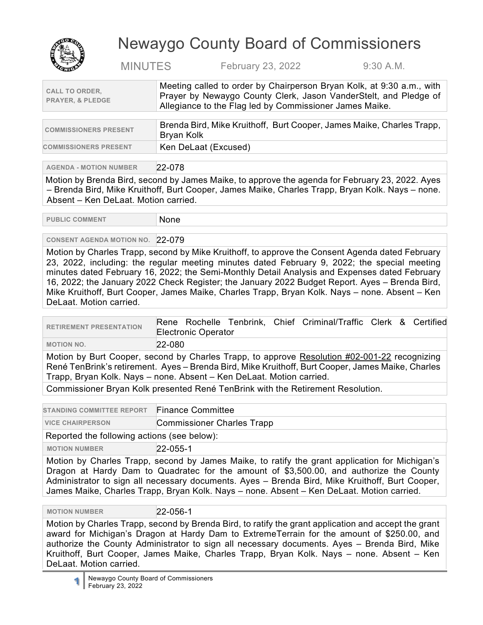

## Newaygo County Board of Commissioners

MINUTES February 23, 2022 9:30 A.M.

| <b>CALL TO ORDER,</b><br><b>PRAYER, &amp; PLEDGE</b> | Meeting called to order by Chairperson Bryan Kolk, at 9:30 a.m., with<br>Prayer by Newaygo County Clerk, Jason VanderStelt, and Pledge of<br>Allegiance to the Flag led by Commissioner James Maike. |
|------------------------------------------------------|------------------------------------------------------------------------------------------------------------------------------------------------------------------------------------------------------|
|                                                      |                                                                                                                                                                                                      |
| <b>COMMISSIONERS PRESENT</b>                         | Brenda Bird, Mike Kruithoff, Burt Cooper, James Maike, Charles Trapp,<br><b>D</b> 17 . 11 .                                                                                                          |

| <b>COMMISSIONERS PRESENT</b> | -Brenda Bird, Mike Kruithoff, Burt Cooper, James Maike, Charles Trapp, I<br>Bryan Kolk |
|------------------------------|----------------------------------------------------------------------------------------|
| <b>COMMISSIONERS PRESENT</b> | └ Ken DeLaat (Excused)                                                                 |

**AGENDA - MOTION NUMBER** 22-078

Motion by Brenda Bird, second by James Maike, to approve the agenda for February 23, 2022. Ayes – Brenda Bird, Mike Kruithoff, Burt Cooper, James Maike, Charles Trapp, Bryan Kolk. Nays – none. Absent – Ken DeLaat. Motion carried.

PUBLIC COMMENT None

**CONSENT AGENDA MOTION NO.** 22-079

Motion by Charles Trapp, second by Mike Kruithoff, to approve the Consent Agenda dated February 23, 2022, including: the regular meeting minutes dated February 9, 2022; the special meeting minutes dated February 16, 2022; the Semi-Monthly Detail Analysis and Expenses dated February 16, 2022; the January 2022 Check Register; the January 2022 Budget Report. Ayes – Brenda Bird, Mike Kruithoff, Burt Cooper, James Maike, Charles Trapp, Bryan Kolk. Nays – none. Absent – Ken DeLaat. Motion carried.

| <b>RETIREMENT PRESENTATION</b>                                                                    | Rene Rochelle Tenbrink, Chief Criminal/Traffic Clerk & Certified<br><b>Electronic Operator</b> |  |
|---------------------------------------------------------------------------------------------------|------------------------------------------------------------------------------------------------|--|
| <b>MOTION NO.</b>                                                                                 | 22-080                                                                                         |  |
| Motion by Burt Cooper, second by Charles Trapp, to approve Resolution #02-001-22 recognizing      |                                                                                                |  |
| René TenBrink's retirement. Ayes – Brenda Bird, Mike Kruithoff, Burt Cooper, James Maike, Charles |                                                                                                |  |

Trapp, Bryan Kolk. Nays – none. Absent – Ken DeLaat. Motion carried.

Commissioner Bryan Kolk presented René TenBrink with the Retirement Resolution.

| STANDING COMMITTEE REPORT Finance Committee |  |
|---------------------------------------------|--|
|                                             |  |

**VICE CHAIRPERSON** Commissioner Charles Trapp

Reported the following actions (see below):

**MOTION NUMBER** 22-055-1

Motion by Charles Trapp, second by James Maike, to ratify the grant application for Michigan's Dragon at Hardy Dam to Quadratec for the amount of \$3,500.00, and authorize the County Administrator to sign all necessary documents. Ayes – Brenda Bird, Mike Kruithoff, Burt Cooper, James Maike, Charles Trapp, Bryan Kolk. Nays – none. Absent – Ken DeLaat. Motion carried.

 **MOTION NUMBER** 22-056-1

Motion by Charles Trapp, second by Brenda Bird, to ratify the grant application and accept the grant award for Michigan's Dragon at Hardy Dam to ExtremeTerrain for the amount of \$250.00, and authorize the County Administrator to sign all necessary documents. Ayes – Brenda Bird, Mike Kruithoff, Burt Cooper, James Maike, Charles Trapp, Bryan Kolk. Nays – none. Absent – Ken DeLaat. Motion carried.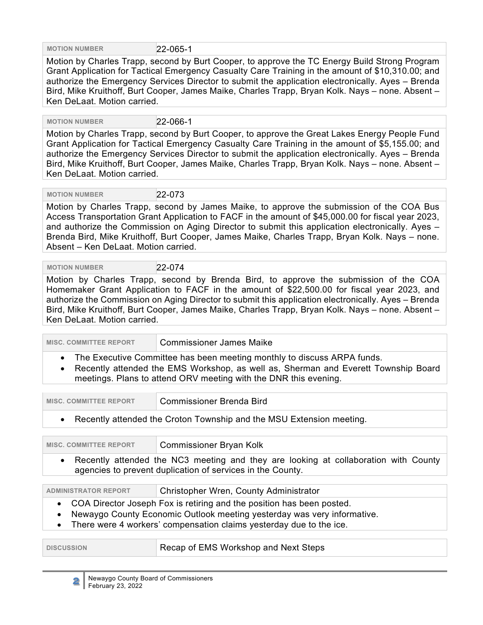**MOTION NUMBER** 22-065-1

Motion by Charles Trapp, second by Burt Cooper, to approve the TC Energy Build Strong Program Grant Application for Tactical Emergency Casualty Care Training in the amount of \$10,310.00; and authorize the Emergency Services Director to submit the application electronically. Ayes – Brenda Bird, Mike Kruithoff, Burt Cooper, James Maike, Charles Trapp, Bryan Kolk. Nays – none. Absent – Ken DeLaat. Motion carried.

 **MOTION NUMBER** 22-066-1

Motion by Charles Trapp, second by Burt Cooper, to approve the Great Lakes Energy People Fund Grant Application for Tactical Emergency Casualty Care Training in the amount of \$5,155.00; and authorize the Emergency Services Director to submit the application electronically. Ayes – Brenda Bird, Mike Kruithoff, Burt Cooper, James Maike, Charles Trapp, Bryan Kolk. Nays – none. Absent – Ken DeLaat. Motion carried.

 **MOTION NUMBER** 22-073

Motion by Charles Trapp, second by James Maike, to approve the submission of the COA Bus Access Transportation Grant Application to FACF in the amount of \$45,000.00 for fiscal year 2023, and authorize the Commission on Aging Director to submit this application electronically. Ayes – Brenda Bird, Mike Kruithoff, Burt Cooper, James Maike, Charles Trapp, Bryan Kolk. Nays – none. Absent – Ken DeLaat. Motion carried.

 **MOTION NUMBER** 22-074

Motion by Charles Trapp, second by Brenda Bird, to approve the submission of the COA Homemaker Grant Application to FACF in the amount of \$22,500.00 for fiscal year 2023, and authorize the Commission on Aging Director to submit this application electronically. Ayes – Brenda Bird, Mike Kruithoff, Burt Cooper, James Maike, Charles Trapp, Bryan Kolk. Nays – none. Absent – Ken DeLaat. Motion carried.

**MISC. COMMITTEE REPORT | Commissioner James Maike** 

• The Executive Committee has been meeting monthly to discuss ARPA funds.

• Recently attended the EMS Workshop, as well as, Sherman and Everett Township Board meetings. Plans to attend ORV meeting with the DNR this evening.

| MISC. COMMITTEE REPORT | Commissioner Brenda Bird                                               |
|------------------------|------------------------------------------------------------------------|
|                        | • Recently attended the Croton Township and the MSU Extension meeting. |

| <b>MISC. COMMITTEE REPORT</b>                                                                                                                                  | <b>Commissioner Bryan Kolk</b> |
|----------------------------------------------------------------------------------------------------------------------------------------------------------------|--------------------------------|
| Recently attended the NC3 meeting and they are looking at collaboration with County<br>$\bullet$<br>agencies to prevent duplication of services in the County. |                                |
| Christopher Wren, County Administrator<br><b>ADMINISTRATOR REPORT</b>                                                                                          |                                |
| COA Director Joseph Fox is retiring and the position has been posted.                                                                                          |                                |

• Newaygo County Economic Outlook meeting yesterday was very informative.

• There were 4 workers' compensation claims yesterday due to the ice.

| <b>DISCUSSION</b> | Recap of EMS Workshop and Next Steps |
|-------------------|--------------------------------------|
|-------------------|--------------------------------------|